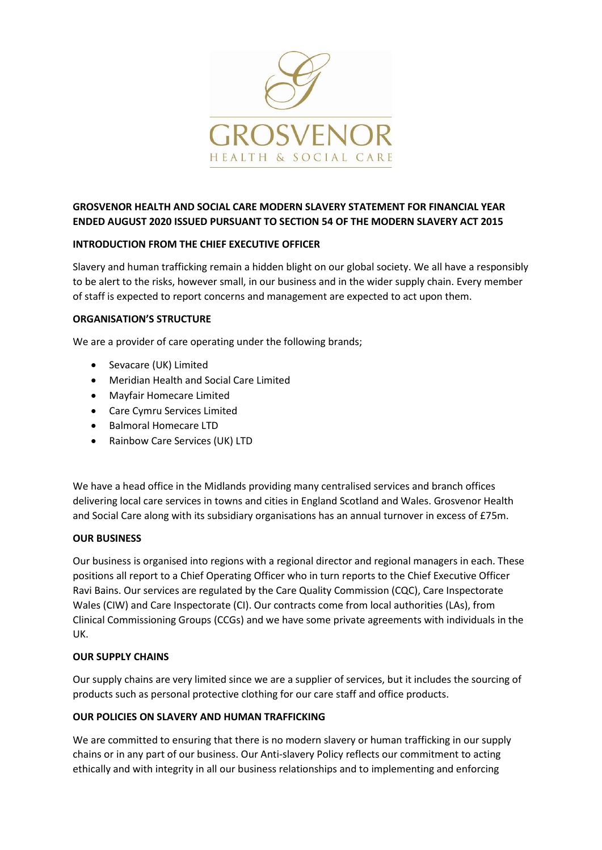

# **GROSVENOR HEALTH AND SOCIAL CARE MODERN SLAVERY STATEMENT FOR FINANCIAL YEAR ENDED AUGUST 2020 ISSUED PURSUANT TO SECTION 54 OF THE MODERN SLAVERY ACT 2015**

## **INTRODUCTION FROM THE CHIEF EXECUTIVE OFFICER**

Slavery and human trafficking remain a hidden blight on our global society. We all have a responsibly to be alert to the risks, however small, in our business and in the wider supply chain. Every member of staff is expected to report concerns and management are expected to act upon them.

### **ORGANISATION'S STRUCTURE**

We are a provider of care operating under the following brands;

- Sevacare (UK) Limited
- Meridian Health and Social Care Limited
- Mayfair Homecare Limited
- Care Cymru Services Limited
- Balmoral Homecare LTD
- Rainbow Care Services (UK) LTD

We have a head office in the Midlands providing many centralised services and branch offices delivering local care services in towns and cities in England Scotland and Wales. Grosvenor Health and Social Care along with its subsidiary organisations has an annual turnover in excess of £75m.

## **OUR BUSINESS**

Our business is organised into regions with a regional director and regional managers in each. These positions all report to a Chief Operating Officer who in turn reports to the Chief Executive Officer Ravi Bains. Our services are regulated by the Care Quality Commission (CQC), Care Inspectorate Wales (CIW) and Care Inspectorate (CI). Our contracts come from local authorities (LAs), from Clinical Commissioning Groups (CCGs) and we have some private agreements with individuals in the UK.

#### **OUR SUPPLY CHAINS**

Our supply chains are very limited since we are a supplier of services, but it includes the sourcing of products such as personal protective clothing for our care staff and office products.

#### **OUR POLICIES ON SLAVERY AND HUMAN TRAFFICKING**

We are committed to ensuring that there is no modern slavery or human trafficking in our supply chains or in any part of our business. Our Anti-slavery Policy reflects our commitment to acting ethically and with integrity in all our business relationships and to implementing and enforcing